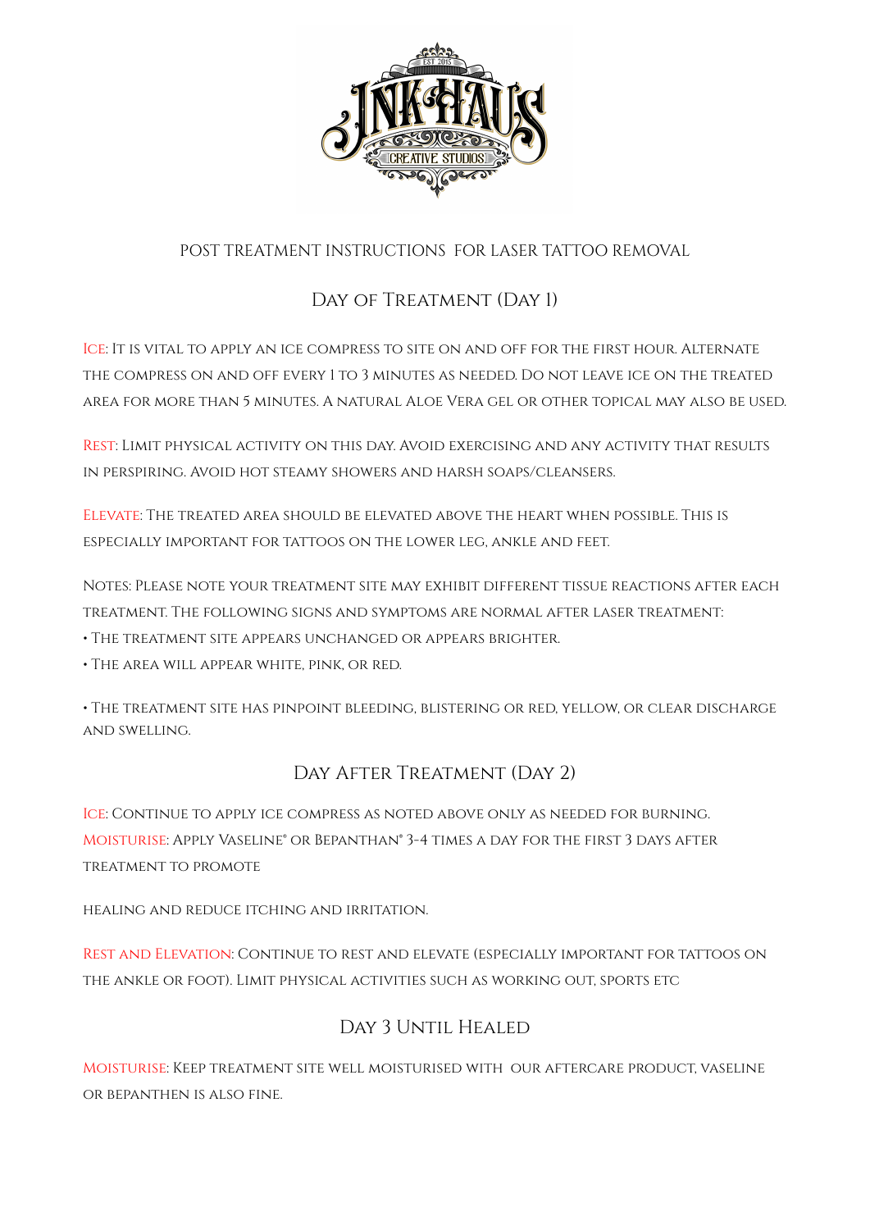

## POST TREATMENT INSTRUCTIONS FOR LASER TATTOO REMOVAL

## DAY OF TREATMENT (DAY 1)

Ice: It is vital to apply an ice compress to site on and off for the first hour. Alternate the compress on and off every 1 to 3 minutes as needed. Do not leave ice on the treated area for more than 5 minutes. A natural Aloe Vera gel or other topical may also be used.

Rest: Limit physical activity on this day. Avoid exercising and any activity that results in perspiring. Avoid hot steamy showers and harsh soaps/cleansers.

Elevate: The treated area should be elevated above the heart when possible. This is especially important for tattoos on the lower leg, ankle and feet.

Notes: Please note your treatment site may exhibit different tissue reactions after each treatment. The following signs and symptoms are normal after laser treatment:

- The treatment site appears unchanged or appears brighter.
- The area will appear white, pink, or red.

• The treatment site has pinpoint bleeding, blistering or red, yellow, or clear discharge and swelling.

## DAY AFTER TREATMENT (DAY 2)

Ice: Continue to apply ice compress as noted above only as needed for burning. Moisturise: Apply Vaseline® or Bepanthan® 3-4 times a day for the first 3 days after treatment to promote

healing and reduce itching and irritation.

Rest and Elevation: Continue to rest and elevate (especially important for tattoos on the ankle or foot). Limit physical activities such as working out, sports etc

## DAY 3 UNTIL HEALED

Moisturise: Keep treatment site well moisturised with our aftercare product, vaseline or bepanthen is also fine.